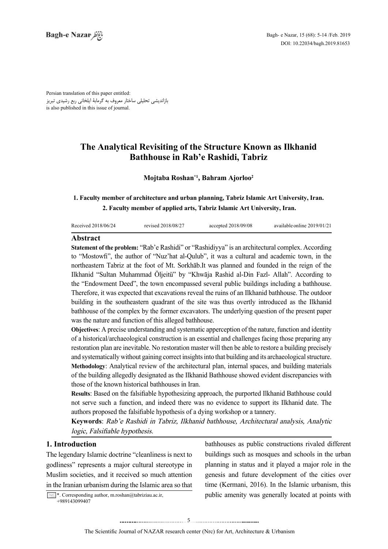Persian translation of this paper entitled: بازاندیشی تحلیلی ساختار معروف به گرمابۀ ایلخانی ربع رشیدی تبریز is also published in this issue of journal.

# **The Analytical Revisiting of the Structure Known as Ilkhanid Bathhouse in Rab'e Rashidi, Tabriz**

## **Mojtaba Roshan<sup>\*1</sup>, Bahram Ajorloo<sup>2</sup>**

## **1. Faculty member of architecture and urban planning, Tabriz Islamic Art University, Iran.** 2. Faculty member of applied arts, Tabriz Islamic Art University, Iran.

| Received 2018/06/24 | revised 2018/08/27 | accepted $2018/09/08$ | available online 2019/01/21 |
|---------------------|--------------------|-----------------------|-----------------------------|
| .                   |                    |                       |                             |

### **Abstract**

**Statement of the problem:** "Rab'e Rashidi" or "Rashidiyya" is an architectural complex. According to "Mostowfi", the author of "Nuz'hat al-Qulub", it was a cultural and academic town, in the northeastern Tabriz at the foot of Mt. Sorkhāb .It was planned and founded in the reign of the Ilkhanid "Sultan Muhammad Öljeitü" by "Khwāja Rashid al-Din Fazl- Allah". According to the "Endowment Deed", the town encompassed several public buildings including a bathhouse. Therefore, it was expected that excavations reveal the ruins of an Ilkhanid bathhouse. The outdoor building in the southeastern quadrant of the site was thus overtly introduced as the Ilkhanid bathhouse of the complex by the former excavators. The underlying question of the present paper was the nature and function of this alleged bathhouse.

**Objectives:** A precise understanding and systematic apperception of the nature, function and identity of a historical/archaeological construction is an essential and challenges facing those preparing any restoration plan are inevitable. No restoration master will then be able to restore a building precisely and systematically without gaining correct insights into that building and its archaeological structure. **Methodology:** Analytical review of the architectural plan, internal spaces, and building materials of the building allegedly designated as the Ilkhanid Bathhouse showed evident discrepancies with those of the known historical bathhouses in Iran.

**Results:** Based on the falsifiable hypothesizing approach, the purported Ilkhanid Bathhouse could not serve such a function, and indeed there was no evidence to support its Ilkhanid date. The authors proposed the falsifiable hypothesis of a dying workshop or a tannery.

Keywords: Rab'e Rashidi in Tabriz, Ilkhanid bathhouse, Architectural analysis, Analytic logic, Falsifiable hypothesis.

## **Introduction 1.**

The legendary Islamic doctrine "cleanliness is next to godliness" represents a major cultural stereotype in Muslim societies, and it received so much attention in the Iranian urbanism during the Islamic area so that

 $\sim$  \*. Corresponding author, m.roshan@tabriziau.ac.ir, +989143099407

bathhouses as public constructions rivaled different buildings such as mosques and schools in the urban planning in status and it played a major role in the genesis and future development of the cities over time (Kermani, 2016). In the Islamic urbanism, this public amenity was generally located at points with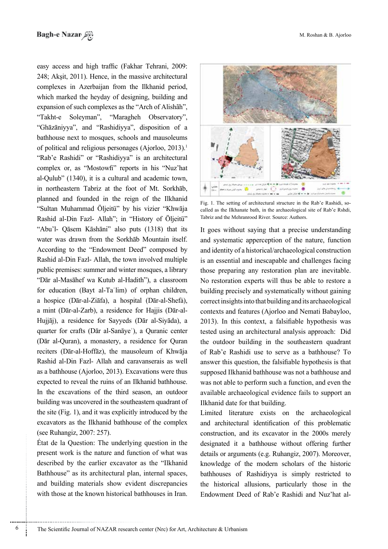easy access and high traffic (Fakhar Tehrani, 2009:  $248$ ; Aksit, 2011). Hence, in the massive architectural complexes in Azerbaijan from the Ilkhanid period, which marked the heyday of designing, building and expansion of such complexes as the "Arch of Alishan". "Takht-e Soleyman", "Maragheh Observatory", "Ghāzāniyya", and "Rashidiyya", disposition of a bathhouse next to mosques, schools and mausoleums of political and religious personages (Ajorloo,  $2013$ ).<sup>1</sup> "Rab'e Rashidi" or "Rashidiyya" is an architectural complex or, as "Mostowfi" reports in his "Nuz'hat al-Qulub"  $(1340)$ , it is a cultural and academic town, in northeastern Tabriz at the foot of Mt. Sorkhab, planned and founded in the reign of the Ilkhanid "Sultan Muhammad Öljeitü" by his vizier "Khwāja Rashid al-Din Fazl- Allah"; in "History of Öljeitü" "Abu'l- Qāsem Kāshāni" also puts (1318) that its water was drawn from the Sorkhab Mountain itself. According to the "Endowment Deed" composed by Rashid al-Din Fazl- Allah, the town involved multiple public premises: summer and winter mosques, a library "Dār al-Masāhef wa Kutub al-Hadith"), a classroom for education (Bayt al-Ta $^{\circ}$ lim) of orphan children, a hospice (Dār-al-Ziāfa), a hospital (Dār-al-Shefa), Hujjāj), a residence for Sayyeds (Dār al-Siyāda), a a mint (Dār-al-Zarb), a residence for Hajjis (Dār-alquarter for crafts (Dār al-Sanāye<sup>'</sup>), a Quranic center (Dār al-Quran), a monastery, a residence for Quranreciters (Dār-al-Hoffāz), the mausoleum of Khwāja Rashid al-Din Fazl- Allah and caravanserais as well as a bathhouse (Ajorloo, 2013). Excavations were thus expected to reveal the ruins of an Ilkhanid bathhouse. In the excavations of the third season, an outdoor building was uncovered in the southeastern quadrant of the site  $(Fig. 1)$ , and it was explicitly introduced by the excavators as the Ilkhanid bathhouse of the complex (see Ruhangiz, 2007: 257).

 $\hat{E}$ tat de la Question: The underlying question in the present work is the nature and function of what was described by the earlier excavator as the "Ilkhanid Bathhouse" as its architectural plan, internal spaces, and building materials show evident discrepancies with those at the known historical bathhouses in Iran.



Fig. 1. The setting of architectural structure in the Rab'e Rashidi, so-called as the Ilkhanate bath, in the archaeological site of Rab'e Rshdi, Tabriz and the Mehranrood River. Source: Authors.

It goes without saying that a precise understanding and systematic apperception of the nature, function and identity of a historical/archaeological construction is an essential and inescapable and challenges facing those preparing any restoration plan are inevitable. No restoration experts will thus be able to restore a building precisely and systematically without gaining correct insights into that building and its archaeological contexts and features (Ajorloo and Nemati Babayloo,  $2013$ ). In this context, a falsifiable hypothesis was tested using an architectural analysis approach: Did the outdoor building in the southeastern quadrant of Rab'e Rashidi use to serve as a bathhouse? To answer this question, the falsifiable hypothesis is that supposed Ilkhanid bathhouse was not a bathhouse and was not able to perform such a function, and even the available archaeological evidence fails to support an Ilkhanid date for that building. Fig. 1. The setting of architectural structure in the Rab'e Rashidi, so-<br>called as the Illshanate bath, in the archaeological site CR ab'e Rabidi, so-<br>Tabriz and the Mehrannood River. Source: Audiors.<br>It goes without sayi

Limited literature exists on the archaeological and architectural identification of this problematic construction, and its excavator in the 2000s merely designated it a bathhouse without offering further details or arguments (e.g. Ruhangiz,  $2007$ ). Moreover, knowledge of the modern scholars of the historic bathhouses of Rashidiyya is simply restricted to the historical allusions, particularly those in the Endowment Deed of Rab'e Rashidi and Nuz'hat al-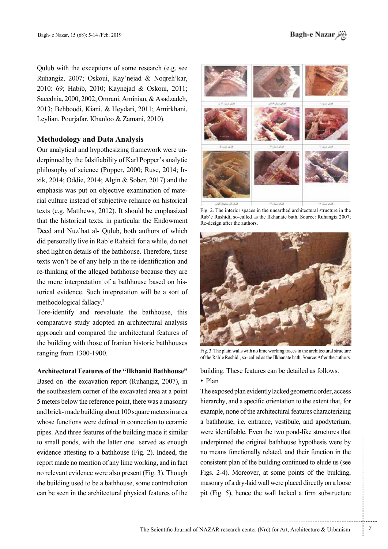Oulub with the exceptions of some research (e.g. see Ruhangiz, 2007; Oskoui, Kay'nejad & Noqreh'kar, 2010: 69; Habib, 2010; Kaynejad & Oskoui, 2011; Saeednia, 2000, 2002; Omrani, Aminian, & Asadzadeh, 2013; Behboodi, Kiani, & Heydari, 2011; Amirkhani, Levlian. Pouriafar, Khanloo & Zamani, 2010).

## **Methodology** and Data Analysis

derpinned by the falsifiability of Karl Popper's analytic Our analytical and hypothesizing framework were unzik, 2014; Oddie, 2014; Algin  $&$  Sober, 2017) and the philosophy of science (Popper, 2000; Ruse, 2014; Irrial culture instead of subjective reliance on historical emphasis was put on objective examination of matetexts (e.g. Matthews,  $2012$ ). It should be emphasized that the historical texts, in particular the Endowment Deed and Nuz'hat al- Qulub, both authors of which did personally live in Rab'e Rahsidi for a while, do not shed light on details of the bathhouse. Therefore, these texts won't be of any help in the re-identification and re-thinking of the alleged bathhouse because they are torical evidence. Such intepretation will be a sort of the mere interpretation of a bathhouse based on hismethodological fallacy.<sup>2</sup>

Tore-identify and reevaluate the bathhouse, this comparative study adopted an architectural analysis approach and compared the architectural features of the building with those of Iranian historic bathhouses ranging from 1300-1900.

## Architectural Features of the "Ilkhanid Bathhouse"

Based on -the excavation report (Ruhangiz, 2007), in the southeastern corner of the excavated area at a point 5 meters below the reference point, there was a masonry and brick-made building about 100 square meters in area whose functions were defined in connection to ceramic pipes. And three features of the building made it similar to small ponds, with the latter one served as enough evidence attesting to a bathhouse (Fig. 2). Indeed, the report made no mention of any lime working, and in fact no relevant evidence were also present (Fig. 3). Though the building used to be a bathhouse, some contradiction can be seen in the architectural physical features of the



Fig. 2. The interior spaces in the unearthed architectural structure in the Rab'e Rashidi, so-called as the Ilkhanate bath. Source: Ruhangiz 2007; Re-design after the authors



Fig. 3. The plain walls with no lime working traces in the architectural structure of the Rab'e Rashidi, so-called as the Ilkhanate bath. Source: After the authors,

building. These features can be detailed as follows.

## • Plan

The exposed plan evidently lacked geometric order, access hierarchy, and a specific orientation to the extent that, for example, none of the architectural features characterizing a bathhouse, i.e. entrance, vestibule, and apodyterium, were identifiable. Even the two pond-like structures that underpinned the original bathhouse hypothesis were by no means functionally related, and their function in the consistent plan of the building continued to elude us (see Figs. 2-4). Moreover, at some points of the building. masonry of a dry-laid wall were placed directly on a loose pit (Fig. 5), hence the wall lacked a firm substructure

.......... ....... ........ ........... ...... ....... ........ .......... ...........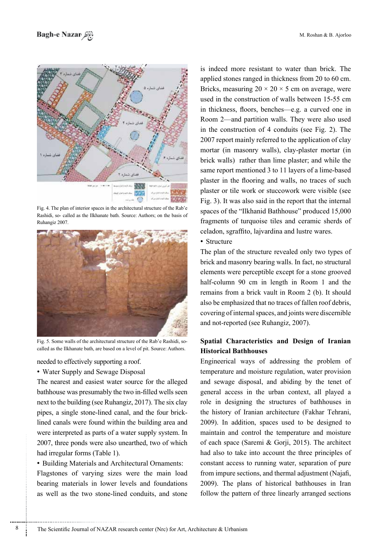

Fig. 4. The plan of interior spaces in the architectural structure of the Rab'e Rashidi, so- called as the Ilkhanate bath. Source: Authors; on the basis of 2007. Ruhangiz



called as the Ilkhanate bath, are based on a level of pit. Source: Authors. Fig. 5. Some walls of the architectural structure of the Rab'e Rashidi, so-

needed to effectively supporting a roof.

• Water Supply and Sewage Disposal

The nearest and easiest water source for the alleged bathhouse was presumably the two in-filled wells seen next to the building (see Ruhangiz, 2017). The six clay lined canals were found within the building area and pipes, a single stone-lined canal, and the four brickwere interpreted as parts of a water supply system. In 2007, three ponds were also unearthed, two of which had irregular forms (Table 1).

• Building Materials and Architectural Ornaments:

Flagstones of varying sizes were the main load bearing materials in lower levels and foundations as well as the two stone-lined conduits, and stone is indeed more resistant to water than brick. The applied stones ranged in thickness from 20 to 60 cm. Bricks, measuring  $20 \times 20 \times 5$  cm on average, were used in the construction of walls between 15-55 cm in thickness, floors, benches—e.g. a curved one in Room 2—and partition walls. They were also used in the construction of 4 conduits (see Fig. 2). The 2007 report mainly referred to the application of clay mortar (in masonry walls), clay-plaster mortar (in brick walls) rather than lime plaster; and while the same report mentioned 3 to 11 layers of a lime-based plaster in the flooring and walls, no traces of such plaster or tile work or stuccowork were visible (see Fig. 3). It was also said in the report that the internal spaces of the "Ilkhanid Bathhouse" produced 15,000 fragments of turquoise tiles and ceramic sherds of celadon, sgraffito, lajvardina and lustre wares.

• Structure

The plan of the structure revealed only two types of brick and masonry bearing walls. In fact, no structural elements were perceptible except for a stone grooved half-column 90 cm in length in Room 1 and the remains from a brick vault in Room 2 (b). It should also be emphasized that no traces of fallen roof debris, covering of internal spaces, and joints were discernible and not-reported (see Ruhangiz, 2007).

## **Spatial Characteristics and Design of Iranian Historical Bathhouses**

Engineerical ways of addressing the problem of temperature and moisture regulation, water provision and sewage disposal, and abiding by the tenet of general access in the urban context, all played a role in designing the structures of bathhouses in the history of Iranian architecture (Fakhar Tehrani,  $2009$ ). In addition, spaces used to be designed to maintain and control the temperature and moisture of each space (Saremi  $\&$  Gorji, 2015). The architect had also to take into account the three principles of constant access to running water, separation of pure from impure sections, and thermal adjustment (Najafi, 2009). The plans of historical bathhouses in Iran follow the pattern of three linearly arranged sections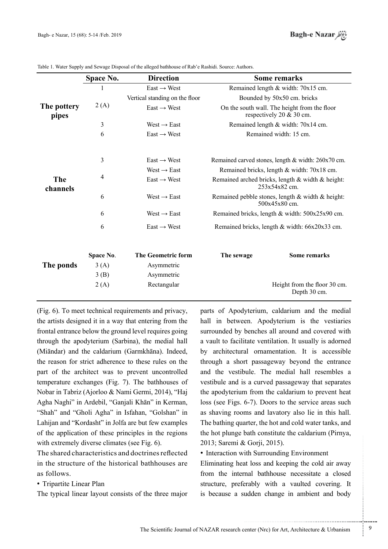|                      | Space No. | <b>Direction</b>               | Some remarks                                                               |                                              |
|----------------------|-----------|--------------------------------|----------------------------------------------------------------------------|----------------------------------------------|
|                      |           | $East \rightarrow West$        | Remained length & width: 70x15 cm.                                         |                                              |
| The pottery<br>pipes | 2(A)      | Vertical standing on the floor | Bounded by 50x50 cm. bricks                                                |                                              |
|                      |           | $East \rightarrow West$        | On the south wall. The height from the floor<br>respectively 20 $&$ 30 cm. |                                              |
|                      | 3         | $West \rightarrow East$        | Remained length & width: 70x14 cm.                                         |                                              |
|                      | 6         | $East \rightarrow West$        | Remained width: 15 cm.                                                     |                                              |
| The<br>channels      | 3         | $East \rightarrow West$        | Remained carved stones, length & width: 260x70 cm.                         |                                              |
|                      |           | West $\rightarrow$ East        | Remained bricks, length & width: 70x18 cm.                                 |                                              |
|                      | 4         | $East \rightarrow West$        | Remained arched bricks, length & width & height:<br>253x54x82 cm.          |                                              |
|                      | 6         | West $\rightarrow$ East        | Remained pebble stones, length $&$ width $&$ height:<br>500x45x80 cm.      |                                              |
|                      | 6         | West $\rightarrow$ East        | Remained bricks, length & width: 500x25x90 cm.                             |                                              |
|                      | 6         | $East \rightarrow West$        | Remained bricks, length & width: 66x20x33 cm.                              |                                              |
|                      | Space No. | <b>The Geometric form</b>      | The sewage                                                                 | <b>Some remarks</b>                          |
| The ponds            | 3(A)      | Asymmetric                     |                                                                            |                                              |
|                      | 3(B)      | Asymmetric                     |                                                                            |                                              |
|                      | 2(A)      | Rectangular                    |                                                                            | Height from the floor 30 cm.<br>Depth 30 cm. |

Table 1. Water Supply and Sewage Disposal of the alleged bathhouse of Rab'e Rashidi. Source: Authors.

 $(Fi)$ ,  $\alpha$ ,  $\beta$ ,  $\beta$ ,  $\beta$  and requirements and privacy. the artists designed it in a way that entering from the frontal entrance below the ground level requires going through the apodyterium (Sarbina), the medial hall (Miāndar) and the caldarium (Garmkhāna). Indeed, the reason for strict adherence to these rules on the part of the architect was to prevent uncontrolled temperature exchanges (Fig. 7). The bathhouses of Nobar in Tabriz (Ajorloo & Nami Germi, 2014), "Haj Agha Naghi" in Ardebil, "Ganjali Khān" in Kerman, " Shah" and "Gholi Agha" in Isfahan, "Golshan" in Lahijan and "Kordasht" in Jolfa are but few examples of the application of these principles in the regions with extremely diverse climates (see Fig.  $6$ ).

The shared characteristics and doctrines reflected in the structure of the historical bathhouses are as follows.

• Tripartite Linear Plan

The typical linear layout consists of the three major

parts of Apodyterium, caldarium and the medial hall in between. Apodyterium is the vestiaries surrounded by benches all around and covered with a vault to facilitate ventilation. It usually is adorned by architectural ornamentation. It is accessible through a short passageway beyond the entrance and the vestibule. The medial hall resembles a vestibule and is a curved passageway that separates the apodyterium from the caldarium to prevent heat loss (see Figs. 6-7). Doors to the service areas such as shaving rooms and lavatory also lie in this hall. The bathing quarter, the hot and cold water tanks, and the hot plunge bath constitute the caldarium (Pirnya, 2013; Saremi & Gorji, 2015).

# • Interaction with Surrounding Environment

Eliminating heat loss and keeping the cold air away from the internal bathhouse necessitate a closed structure, preferably with a vaulted covering. It is because a sudden change in ambient and body

.......... ....... ........ ........... ...... ....... ........ .......... ...........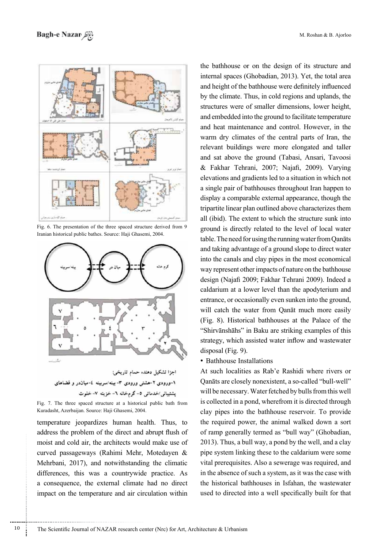

Fig. 6. The presentation of the three spaced structure derived from 9. Iranian historical public bathes. Source: Haji Ghasemi. 2004.



Fig. 7. The three spaced structure at a historical public bath from Kuradasht, Azerbaijan. Source: Haji Ghasemi, 2004.

temperature *jeopardizes* human health. Thus, to address the problem of the direct and abrupt flush of moist and cold air, the architects would make use of curved passageways (Rahimi Mehr, Motedayen & Mehrbani, 2017), and notwithstanding the climatic differences, this was a countrywide practice. As a consequence, the external climate had no direct impact on the temperature and air circulation within

the bathhouse or on the design of its structure and internal spaces (Ghobadian, 2013). Yet, the total area and height of the bathhouse were definitely influenced by the climate. Thus, in cold regions and uplands, the structures were of smaller dimensions, lower height, and embedded into the ground to facilitate temperature and heat maintenance and control. However, in the warm dry climates of the central parts of Iran, the relevant buildings were more elongated and taller and sat above the ground (Tabasi, Ansari, Tavoosi & Fakhar Tehrani, 2007; Najafi, 2009). Varying elevations and gradients led to a situation in which not a single pair of bathhouses throughout Iran happen to display a comparable external appearance, though the tripartite linear plan outlined above characterizes them all (ibid). The extent to which the structure sunk into ground is directly related to the level of local water table. The need for using the running water from Qanāts and taking advantage of a ground slope to direct water into the canals and clay pipes in the most economical way represent other impacts of nature on the bathhouse design (Najafi 2009; Fakhar Tehrani 2009). Indeed a caldarium at a lower level than the apodyterium and entrance, or occasionally even sunken into the ground, will catch the water from Qanāt much more easily  $F$ ig. 8). Historical bathhouses at the Palace of the "Shirvānshāhs" in Baku are striking examples of this strategy, which assisted water inflow and wastewater  $disposal$  (Fig. 9).

• Bathhouse Installations

At such localities as Rab'e Rashidi where rivers or Qanāts are closely nonexistent, a so-called "bull-well" will be necessary. Water fetched by bulls from this well is collected in a pond, wherefrom it is directed through clay pipes into the bathhouse reservoir. To provide the required power, the animal walked down a sort of ramp generally termed as "bull way" (Ghobadian,  $2013$ ). Thus, a bull way, a pond by the well, and a clay pipe system linking these to the caldarium were some vital prerequisites. Also a sewerage was required, and in the absence of such a system, as it was the case with the historical bathhouses in Isfahan, the wastewater used to directed into a well specifically built for that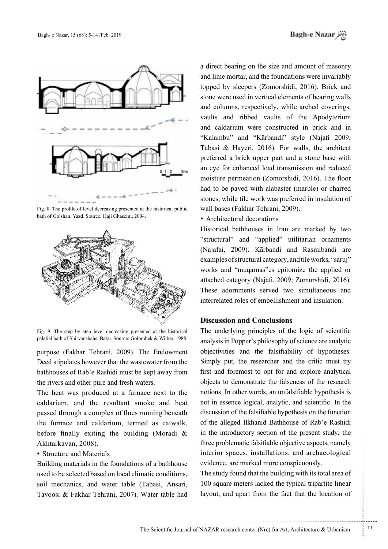

Fig. 8. The profile of level decreasing presented at the historical public bath of Golshan, Yazd. Source: Haji Ghasemi, 2004.



Fig. 9. The step by step level decreasing presented at the historical palatial bath of Shirvanshahs, Baku. Source: Golombek & Wilber, 1988.

purpose (Fakhar Tehrani, 2009). The Endowment Deed stipulates however that the wastewater from the bathhouses of Rab'e Rashidi must be kept away from the rivers and other pure and fresh waters.

The heat was produced at a furnace next to the caldarium, and the resultant smoke and heat passed through a complex of flues running beneath the furnace and caldarium, termed as catwalk, before finally exiting the building (Moradi  $\&$ Akhtarkavan, 2008).

### • Structure and Materials

Building materials in the foundations of a bathhouse used to be selected based on local climatic conditions, soil mechanics, and water table (Tabasi, Ansari, Tavoosi & Fakhar Tehrani, 2007). Water table had

a direct bearing on the size and amount of masonry and lime mortar, and the foundations were invariably topped by sleepers (Zomorshidi, 2016). Brick and stone were used in vertical elements of bearing walls and columns, respectively, while arched coverings, vaults and ribbed vaults of the Apodyterium and caldarium were constructed in brick and in "Kalambu" and "Kārbandi" style (Najafi 2009; Tabasi & Hayeri, 2016). For walls, the architect preferred a brick upper part and a stone base with an eye for enhanced load transmission and reduced moisture permeation (Zomorshidi, 2016). The floor had to be paved with alabaster (marble) or charred stones, while tile work was preferred in insulation of wall bases (Fakhar Tehrani, 2009).

• Architectural decorations

Historical bathhouses in Iran are marked by two "structural" and "applied" utilitarian ornaments (Najafai, 2009). Kārbandi and Rasmibandi are examples of structural category, and tile works, "saruj" works and "muqarnas" es epitomize the applied or attached category (Najafi, 2009; Zomorshidi, 2016). These adornments served two simultaneous and interrelated roles of embellishment and insulation.

## **Discussion and Conclusions**

The underlying principles of the logic of scientific analysis in Popper's philosophy of science are analytic objectivities and the falsifiability of hypotheses. Simply put, the researcher and the critic must try first and foremost to opt for and explore analytical objects to demonstrate the falseness of the research notions. In other words, an unfalsifiable hypothesis is not in essence logical, analytic, and scientific. In the discussion of the falsifiable hypothesis on the function of the alleged Ilkhanid Bathhouse of Rab'e Rashidi in the introductory section of the present study, the three problematic falsifiable objective aspects, namely interior spaces, installations, and archaeological evidence, are marked more conspicuously.

The study found that the building with its total area of 100 square meters lacked the typical tripartite linear layout, and apart from the fact that the location of

.......... ....... ........ ........... ...... ....... ........ .......... ...........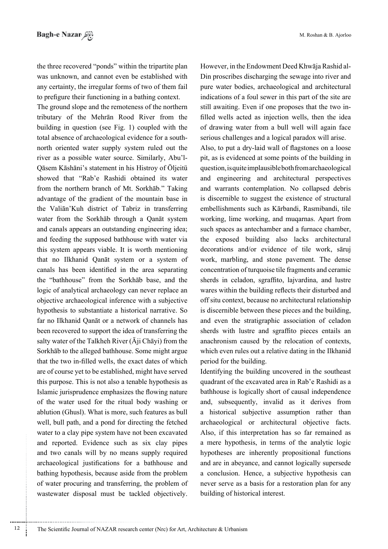M. Roshan & B. Ajorloo

the three recovered "ponds" within the tripartite plan was unknown, and cannot even be established with any certainty, the irregular forms of two of them fail to prefigure their functioning in a bathing context.

The ground slope and the remoteness of the northern tributary of the Mehrān Rood River from the building in question (see Fig. 1) coupled with the north oriented water supply system ruled out the total absence of archaeological evidence for a south-Qāsem Kāshāni's statement in his Histroy of Öljeitü river as a possible water source. Similarly, Abu'lshowed that "Rab'e Rashidi obtained its water from the northern branch of Mt. Sorkhāb." Taking advantage of the gradient of the mountain base in the Valiān'Kuh district of Tabriz in transferring water from the Sorkhab through a Qanat system and canals appears an outstanding engineering idea; and feeding the supposed bathhouse with water via this system appears viable. It is worth mentioning that no Ilkhanid Qanāt system or a system of canals has been identified in the area separating the "bathhouse" from the Sorkhab base, and the logic of analytical archaeology can never replace an objective archaeological inference with a subjective hypothesis to substantiate a historical narrative. So far no Ilkhanid Qanāt or a network of channels has been recovered to support the idea of transferring the salty water of the Talkheh River  $(\bar{A}$ ji Chāyi) from the Sorkhāb to the alleged bathhouse. Some might argue that the two in-filled wells, the exact dates of which are of course yet to be established, might have served this purpose. This is not also a tenable hypothesis as Islamic jurisprudence emphasizes the flowing nature of the water used for the ritual body washing or ablution (Ghusl). What is more, such features as bull well, bull path, and a pond for directing the fetched water to a clay pipe system have not been excavated and reported. Evidence such as six clay pipes and two canals will by no means supply required archaeological justifications for a bathhouse and bathing hypothesis, because aside from the problem of water procuring and transferring, the problem of wastewater disposal must be tackled objectively.

Din proscribes discharging the sewage into river and However, in the Endowment Deed Khwāja Rashid alpure water bodies, archaeological and architectural indications of a foul sewer in this part of the site are filled wells acted as injection wells, then the idea still awaiting. Even if one proposes that the two inof drawing water from a bull well will again face serious challenges and a logical paradox will arise.

Also, to put a dry-laid wall of flagstones on a loose pit, as is evidenced at some points of the building in question, is quite implausible both from archaeological and engineering and architectural perspectives and warrants contemplation. No collapsed debris is discernible to suggest the existence of structural embellishments such as Kārbandi, Rasmibandi, tile working, lime working, and muqarnas. Apart from such spaces as antechamber and a furnace chamber, the exposed building also lacks architectural decorations and/or evidence of tile work, sāruj work, marbling, and stone pavement. The dense concentration of turquoise tile fragments and ceramic sherds in celadon, sgraffito, lajvardina, and lustre wares within the building reflects their disturbed and off situ context, because no architectural relationship is discernible between these pieces and the building. and even the stratigraphic association of celadon sherds with lustre and sgraffito pieces entails an anachronism caused by the relocation of contexts, which even rules out a relative dating in the Ilkhanid period for the building.

Identifying the building uncovered in the southeast quadrant of the excavated area in Rab'e Rashidi as a bathhouse is logically short of causal independence and, subsequently, invalid as it derives from a historical subjective assumption rather than archaeological or architectural objective facts. Also, if this interpretation has so far remained as a mere hypothesis, in terms of the analytic logic hypotheses are inherently propositional functions and are in abeyance, and cannot logically supersede a conclusion. Hence, a subjective hypothesis can never serve as a basis for a restoration plan for any building of historical interest.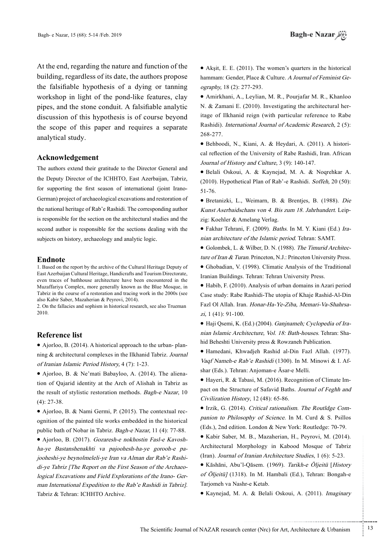At the end, regarding the nature and function of the building, regardless of its date, the authors propose the falsifiable hypothesis of a dying or tanning workshop in light of the pond-like features, clay pipes, and the stone conduit. A falsifiable analytic discussion of this hypothesis is of course beyond the scope of this paper and requires a separate analytical study.

#### **Acknowledgement**

The authors extend their gratitude to the Director General and the Deputy Director of the ICHHTO, East Azerbaijan, Tabriz, German) project of archaeological excavations and restoration of for supporting the first season of international (joint Iranothe national heritage of Rab'e Rashidi. The corresponding author is responsible for the section on the architectural studies and the second author is responsible for the sections dealing with the subjects on history, archaeology and analytic logic.

#### **Endnote**

1. Based on the report by the archive of the Cultural Heritage Deputy of East Azerbaijan Cultural Heritage, Handicrafts and Tourism Directorate, even traces of bathhouse architecture have been encountered in the Muzaffariya Complex, more generally known as the Blue Mosque, in Tabriz in the course of a restoration and tracing work in the 2000s (see also Kabir Saber, Mazaherian & Peyrovi, 2014).

2. On the fallacies and sophism in historical research, see also Trueman 2010.

## **Reference** list

ning  $&$  architectural complexes in the Ilkhanid Tabriz. Journal • Ajorloo, B. (2014). A historical approach to the urban-planof Iranian Islamic Period History, 4 (7): 1-23.

tion of Qajarid identity at the Arch of Alishah in Tabriz as • Ajorloo, B. & Ne'mati Babayloo, A. (2014). The alienathe result of stylistic restoration methods. Bagh-e Nazar, 10  $(4)$ : 27-38.

ognition of the painted tile works embedded in the historical • Ajorloo, B. & Nami Germi, P. (2015). The contextual recpublic bath of Nobar in Tabriz. Bagh-e Nazar, 11 (4): 77-88.

man International Expedition to the Rab'e Rashidi in Tabriz]. logical Excavations and Field Explorations of the Irano- Gerdi-ye Tabriz [The Report on the First Season of the Archaeojooheshi-ye beynolmeleli-ye-Iran va Alman dar Rab'e Rashiha-ye Bastanshenakhti va pajoohesh-ha-ye gorooh-e pa-• Ajorloo, B. (2017). Gozaresh-e nokhostin Fasl-e Kavosh-Tabriz & Tehran: ICHHTO Archive.

 $\bullet$  Akşit, E. E. (2011). The women's quarters in the historical hammam: Gender, Place & Culture. A Journal of Feminist Geography, 18 (2): 277-293.

 $\bullet$  Amirkhani, A., Leylian, M. R., Pourjafar M. R., Khanloo itage of Ilkhanid reign (with particular reference to Rabe N.  $&$  Zamani E. (2010). Investigating the architectural her-Rashidi). International Journal of Academic Research, 2 (5): 268-277.

cal reflection of the University of Rabe Rashidi, Iran. African • Behboodi, N., Kiani, A. & Heydari, A. (2011). A histori-Journal of History and Culture, 3 (9): 140-147.

• Belali Oskoui, A. & Kaynejad, M. A. & Noqrehkar A. (2010). Hypothetical Plan of Rab'-e Rashidi. Soffeh, 20 (50): 51-76.

 $\bullet$  Bretanizki, L., Weimarn, B. & Brentjes, B. (1988). Die Kunst Aserbaidschans von 4. Bis zum 18. Jahrhundert. Leip-<br>zig: Koehler & Amelang Verlag.

nian architecture of the Islamic period. Tehran: SAMT. ● Fakhar Tehrani, F. (2009). Baths. In M. Y. Kiani (Ed.) Ira-

ture of Iran & Turan. Princeton, N.J.: Princeton University Press. • Golombek, L. & Wilber, D. N. (1988). The Timurid Architec-

• Ghobadian, V. (1998). Climatic Analysis of the Traditional Iranian Buildings. Tehran: Tehran University Press.

 $\bullet$  Habib, F. (2010). Analysis of urban domains in Azari period Case study: Rabe Rashidi-The utopia of Khaje Rashid-Al-Din Fazl Ol Allah. Iran. *Honar-Ha-Ye-Ziba, Memari-Va-Shahrsa-*<br>*zi*, 1 (41): 91-100.

hid Beheshti University press  $&$  Rowzaneh Publication. nian Islamic Architecture, Vol. 18: Bath-houses. Tehran: Sha-• Haji Qsemi, K. (Ed.) (2004). Ganjnameh; Cyclopedia of Ira-

• Hamedani, Khwadjeh Rashid al-Din Fazl Allah. (1977). Vaqf Nameh-e Rab'e Rashidi (1300). In M. Minowi & I. Af-<br>shar (Eds.). Tehran: Anjoman-e Āsar-e Melli.

pact on the Structure of Safavid Baths. Journal of Feghh and ■ Hayeri, R. & Tabasi, M. (2016). Recognition of Climate Im-Civilization History, 12 (48): 65-86.

panion to Philosophy of Science. In M. Curd  $&$  S. Psillos • Irzik, G. (2014). Critical rationalism. The Routldge Com-(Eds.), 2nd edition. London & New York: Routledge: 70-79.

• Kabir Saber, M. B., Mazaherian, H., Peyrovi, M. (2014). Architectural Morphology in Kabood Mosque of Tabriz (Iran). Journal of Iranian Architecture Studies,  $1(6)$ : 5-23.

• Kāshāni, Abu'l-Qāsem. (1969). Tarikh-e Öljeitü [History of Öljeitü] (1318). In M. Hambali (Ed.), Tehran: Bongah-e Tarjomeh va Nashr-e Ketab.

• Kaynejad, M. A. & Belali Oskoui, A. (2011). Imaginary

.......... ....... ........ ........... ...... ....... ........ .......... ...........